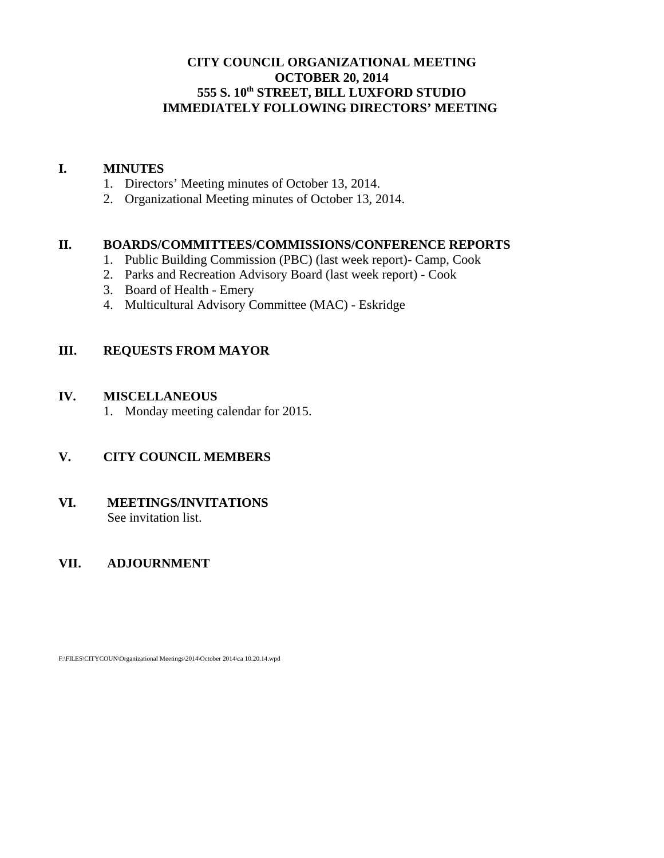# **CITY COUNCIL ORGANIZATIONAL MEETING OCTOBER 20, 2014 555 S. 10th STREET, BILL LUXFORD STUDIO IMMEDIATELY FOLLOWING DIRECTORS' MEETING**

### **I. MINUTES**

- 1. Directors' Meeting minutes of October 13, 2014.
- 2. Organizational Meeting minutes of October 13, 2014.

### **II. BOARDS/COMMITTEES/COMMISSIONS/CONFERENCE REPORTS**

- 1. Public Building Commission (PBC) (last week report)- Camp, Cook
- 2. Parks and Recreation Advisory Board (last week report) Cook
- 3. Board of Health Emery
- 4. Multicultural Advisory Committee (MAC) Eskridge

# **III. REQUESTS FROM MAYOR**

#### **IV. MISCELLANEOUS**

1. Monday meeting calendar for 2015.

# **V. CITY COUNCIL MEMBERS**

#### **VI. MEETINGS/INVITATIONS** See invitation list.

# **VII. ADJOURNMENT**

F:\FILES\CITYCOUN\Organizational Meetings\2014\October 2014\ca 10.20.14.wpd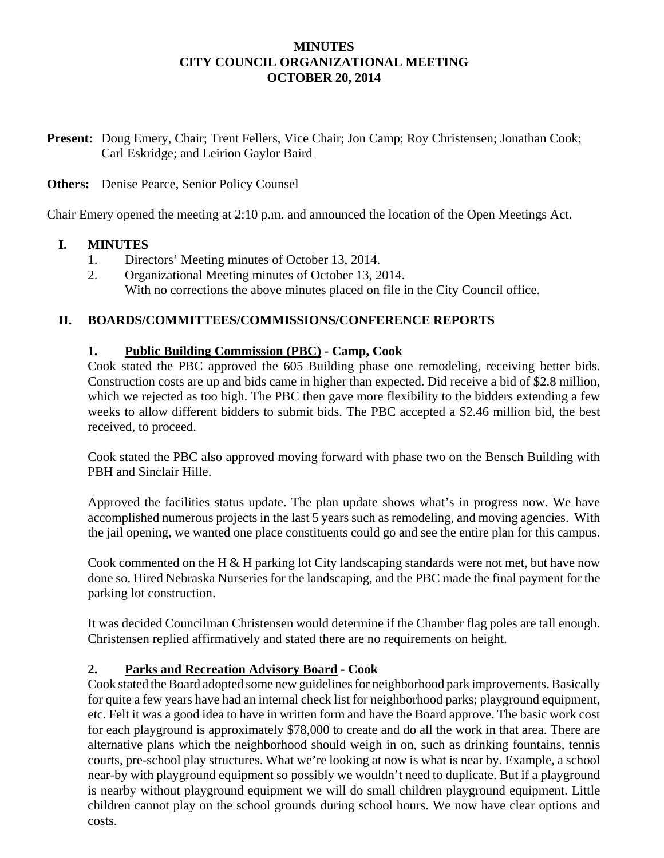### **MINUTES CITY COUNCIL ORGANIZATIONAL MEETING OCTOBER 20, 2014**

**Present:** Doug Emery, Chair; Trent Fellers, Vice Chair; Jon Camp; Roy Christensen; Jonathan Cook; Carl Eskridge; and Leirion Gaylor Baird

### **Others:** Denise Pearce, Senior Policy Counsel

Chair Emery opened the meeting at 2:10 p.m. and announced the location of the Open Meetings Act.

### **I. MINUTES**

- 1. Directors' Meeting minutes of October 13, 2014.
- 2. Organizational Meeting minutes of October 13, 2014. With no corrections the above minutes placed on file in the City Council office.

### **II. BOARDS/COMMITTEES/COMMISSIONS/CONFERENCE REPORTS**

### **1. Public Building Commission (PBC) - Camp, Cook**

Cook stated the PBC approved the 605 Building phase one remodeling, receiving better bids. Construction costs are up and bids came in higher than expected. Did receive a bid of \$2.8 million, which we rejected as too high. The PBC then gave more flexibility to the bidders extending a few weeks to allow different bidders to submit bids. The PBC accepted a \$2.46 million bid, the best received, to proceed.

Cook stated the PBC also approved moving forward with phase two on the Bensch Building with PBH and Sinclair Hille.

Approved the facilities status update. The plan update shows what's in progress now. We have accomplished numerous projects in the last 5 years such as remodeling, and moving agencies. With the jail opening, we wanted one place constituents could go and see the entire plan for this campus.

Cook commented on the H & H parking lot City landscaping standards were not met, but have now done so. Hired Nebraska Nurseries for the landscaping, and the PBC made the final payment for the parking lot construction.

It was decided Councilman Christensen would determine if the Chamber flag poles are tall enough. Christensen replied affirmatively and stated there are no requirements on height.

#### **2. Parks and Recreation Advisory Board - Cook**

Cook stated the Board adopted some new guidelines for neighborhood park improvements. Basically for quite a few years have had an internal check list for neighborhood parks; playground equipment, etc. Felt it was a good idea to have in written form and have the Board approve. The basic work cost for each playground is approximately \$78,000 to create and do all the work in that area. There are alternative plans which the neighborhood should weigh in on, such as drinking fountains, tennis courts, pre-school play structures. What we're looking at now is what is near by. Example, a school near-by with playground equipment so possibly we wouldn't need to duplicate. But if a playground is nearby without playground equipment we will do small children playground equipment. Little children cannot play on the school grounds during school hours. We now have clear options and costs.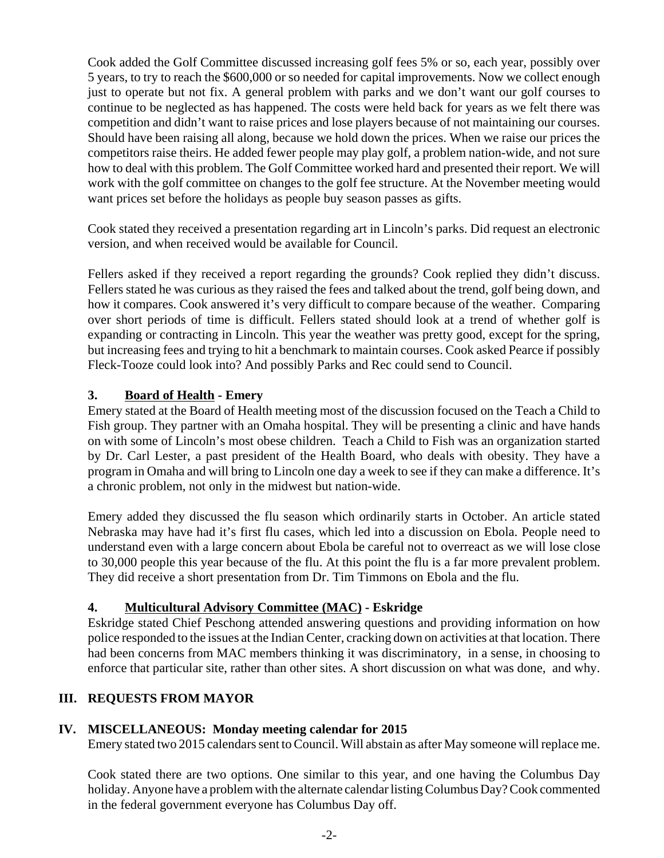Cook added the Golf Committee discussed increasing golf fees 5% or so, each year, possibly over 5 years, to try to reach the \$600,000 or so needed for capital improvements. Now we collect enough just to operate but not fix. A general problem with parks and we don't want our golf courses to continue to be neglected as has happened. The costs were held back for years as we felt there was competition and didn't want to raise prices and lose players because of not maintaining our courses. Should have been raising all along, because we hold down the prices. When we raise our prices the competitors raise theirs. He added fewer people may play golf, a problem nation-wide, and not sure how to deal with this problem. The Golf Committee worked hard and presented their report. We will work with the golf committee on changes to the golf fee structure. At the November meeting would want prices set before the holidays as people buy season passes as gifts.

Cook stated they received a presentation regarding art in Lincoln's parks. Did request an electronic version, and when received would be available for Council.

Fellers asked if they received a report regarding the grounds? Cook replied they didn't discuss. Fellers stated he was curious as they raised the fees and talked about the trend, golf being down, and how it compares. Cook answered it's very difficult to compare because of the weather. Comparing over short periods of time is difficult. Fellers stated should look at a trend of whether golf is expanding or contracting in Lincoln. This year the weather was pretty good, except for the spring, but increasing fees and trying to hit a benchmark to maintain courses. Cook asked Pearce if possibly Fleck-Tooze could look into? And possibly Parks and Rec could send to Council.

# **3. Board of Health - Emery**

Emery stated at the Board of Health meeting most of the discussion focused on the Teach a Child to Fish group. They partner with an Omaha hospital. They will be presenting a clinic and have hands on with some of Lincoln's most obese children. Teach a Child to Fish was an organization started by Dr. Carl Lester, a past president of the Health Board, who deals with obesity. They have a program in Omaha and will bring to Lincoln one day a week to see if they can make a difference. It's a chronic problem, not only in the midwest but nation-wide.

Emery added they discussed the flu season which ordinarily starts in October. An article stated Nebraska may have had it's first flu cases, which led into a discussion on Ebola. People need to understand even with a large concern about Ebola be careful not to overreact as we will lose close to 30,000 people this year because of the flu. At this point the flu is a far more prevalent problem. They did receive a short presentation from Dr. Tim Timmons on Ebola and the flu.

# **4. Multicultural Advisory Committee (MAC) - Eskridge**

Eskridge stated Chief Peschong attended answering questions and providing information on how police responded to the issues at the Indian Center, cracking down on activities at that location. There had been concerns from MAC members thinking it was discriminatory, in a sense, in choosing to enforce that particular site, rather than other sites. A short discussion on what was done, and why.

# **III. REQUESTS FROM MAYOR**

# **IV. MISCELLANEOUS: Monday meeting calendar for 2015**

Emery stated two 2015 calendars sent to Council. Will abstain as after May someone will replace me.

Cook stated there are two options. One similar to this year, and one having the Columbus Day holiday. Anyone have a problem with the alternate calendar listing Columbus Day? Cook commented in the federal government everyone has Columbus Day off.